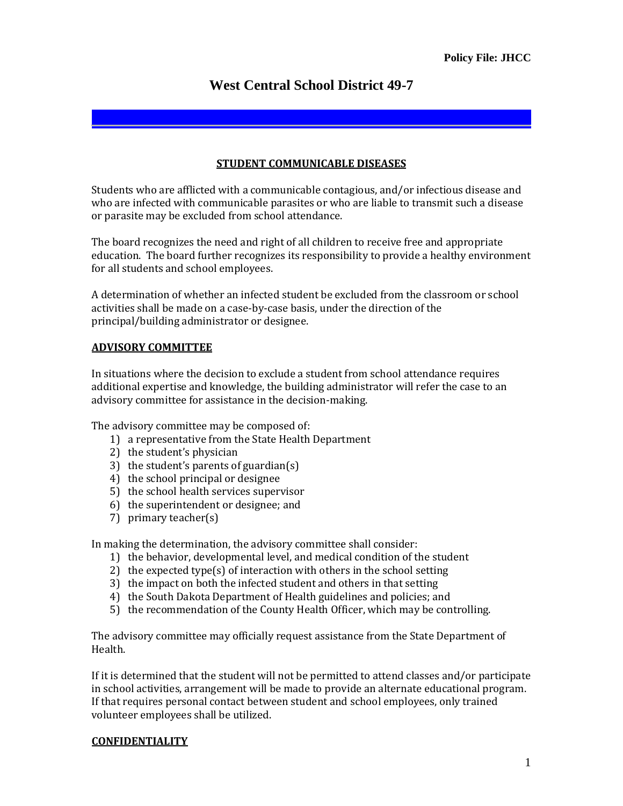# **West Central School District 49-7**

## **STUDENT COMMUNICABLE DISEASES**

Students who are afflicted with a communicable contagious, and/or infectious disease and who are infected with communicable parasites or who are liable to transmit such a disease or parasite may be excluded from school attendance.

The board recognizes the need and right of all children to receive free and appropriate education. The board further recognizes its responsibility to provide a healthy environment for all students and school employees.

A determination of whether an infected student be excluded from the classroom or school activities shall be made on a case-by-case basis, under the direction of the principal/building administrator or designee.

# **ADVISORY COMMITTEE**

In situations where the decision to exclude a student from school attendance requires additional expertise and knowledge, the building administrator will refer the case to an advisory committee for assistance in the decision-making.

The advisory committee may be composed of:

- 1) a representative from the State Health Department
- 2) the student's physician
- 3) the student's parents of guardian(s)
- 4) the school principal or designee
- 5) the school health services supervisor
- 6) the superintendent or designee; and
- 7) primary teacher(s)

In making the determination, the advisory committee shall consider:

- 1) the behavior, developmental level, and medical condition of the student
- 2) the expected type(s) of interaction with others in the school setting
- 3) the impact on both the infected student and others in that setting
- 4) the South Dakota Department of Health guidelines and policies; and
- 5) the recommendation of the County Health Officer, which may be controlling.

The advisory committee may officially request assistance from the State Department of Health.

If it is determined that the student will not be permitted to attend classes and/or participate in school activities, arrangement will be made to provide an alternate educational program. If that requires personal contact between student and school employees, only trained volunteer employees shall be utilized.

#### **CONFIDENTIALITY**